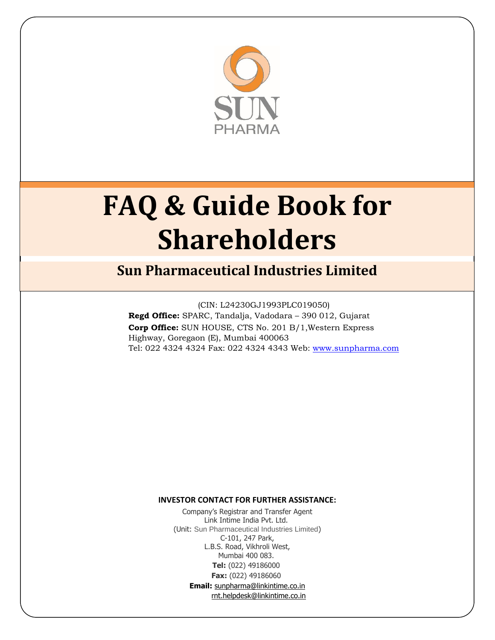

# **FAQ & Guide Book for Shareholders**

# **Sun Pharmaceutical Industries Limited**

(CIN: L24230GJ1993PLC019050) **Regd Office:** SPARC, Tandalja, Vadodara – 390 012, Gujarat **Corp Office:** SUN HOUSE, CTS No. 201 B/1,Western Express Highway, Goregaon (E), Mumbai 400063 Tel: 022 4324 4324 Fax: 022 4324 4343 Web: www.sunpharma.com

#### **INVESTOR CONTACT FOR FURTHER ASSISTANCE:**

Company's Registrar and Transfer Agent Link Intime India Pvt. Ltd. (Unit: Sun Pharmaceutical Industries Limited) C-101, 247 Park, L.B.S. Road, Vikhroli West, Mumbai 400 083. **Tel:** (022) 49186000 **Fax:** (022) 49186060 **Email:** sunpharma@linkintime.co.in rnt.helpdesk@linkintime.co.in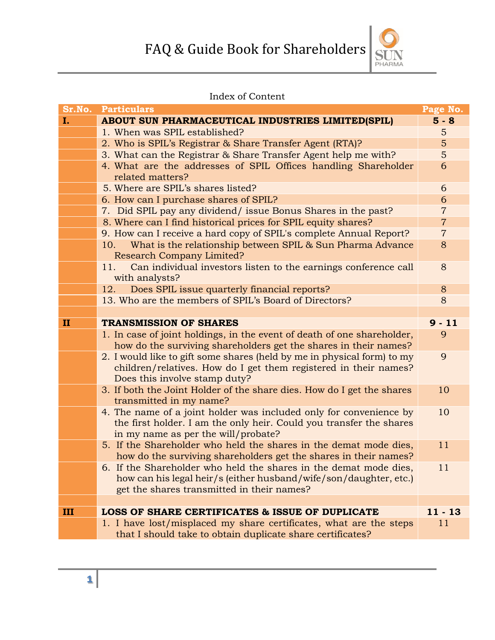

# Index of Content

| Sr.No.       | <b>Particulars</b>                                                                                         | Page No.       |  |
|--------------|------------------------------------------------------------------------------------------------------------|----------------|--|
| I.           | ABOUT SUN PHARMACEUTICAL INDUSTRIES LIMITED(SPIL)                                                          | $5 - 8$        |  |
|              | 1. When was SPIL established?                                                                              | 5              |  |
|              | 2. Who is SPIL's Registrar & Share Transfer Agent (RTA)?                                                   |                |  |
|              | 3. What can the Registrar & Share Transfer Agent help me with?                                             |                |  |
|              | 4. What are the addresses of SPIL Offices handling Shareholder                                             |                |  |
|              | related matters?                                                                                           |                |  |
|              | 5. Where are SPIL's shares listed?                                                                         |                |  |
|              | 6. How can I purchase shares of SPIL?                                                                      |                |  |
|              | 7. Did SPIL pay any dividend/ issue Bonus Shares in the past?                                              |                |  |
|              | 8. Where can I find historical prices for SPIL equity shares?                                              | $\overline{7}$ |  |
|              | 9. How can I receive a hard copy of SPIL's complete Annual Report?                                         | $\overline{7}$ |  |
|              | What is the relationship between SPIL & Sun Pharma Advance<br>10.                                          | 8              |  |
|              | <b>Research Company Limited?</b><br>Can individual investors listen to the earnings conference call<br>11. | 8              |  |
|              | with analysts?                                                                                             |                |  |
|              | Does SPIL issue quarterly financial reports?<br>12.                                                        | 8              |  |
|              | 13. Who are the members of SPIL's Board of Directors?                                                      | 8              |  |
|              |                                                                                                            |                |  |
| $\mathbf{I}$ | <b>TRANSMISSION OF SHARES</b>                                                                              | $9 - 11$       |  |
|              | 1. In case of joint holdings, in the event of death of one shareholder,                                    | 9              |  |
|              | how do the surviving shareholders get the shares in their names?                                           |                |  |
|              | 2. I would like to gift some shares (held by me in physical form) to my                                    | 9              |  |
|              | children/relatives. How do I get them registered in their names?                                           |                |  |
|              | Does this involve stamp duty?                                                                              |                |  |
|              | 3. If both the Joint Holder of the share dies. How do I get the shares                                     | 10             |  |
|              | transmitted in my name?                                                                                    |                |  |
|              | 4. The name of a joint holder was included only for convenience by                                         | 10             |  |
|              | the first holder. I am the only heir. Could you transfer the shares                                        |                |  |
|              | in my name as per the will/probate?                                                                        |                |  |
|              | 5. If the Shareholder who held the shares in the demat mode dies,                                          | 11             |  |
|              | how do the surviving shareholders get the shares in their names?                                           |                |  |
|              | 6. If the Shareholder who held the shares in the demat mode dies,                                          | 11             |  |
|              | how can his legal heir/s (either husband/wife/son/daughter, etc.)                                          |                |  |
|              | get the shares transmitted in their names?                                                                 |                |  |
|              |                                                                                                            |                |  |
| III          | <b>LOSS OF SHARE CERTIFICATES &amp; ISSUE OF DUPLICATE</b>                                                 | $11 - 13$      |  |
|              | 1. I have lost/misplaced my share certificates, what are the steps                                         | 11             |  |
|              | that I should take to obtain duplicate share certificates?                                                 |                |  |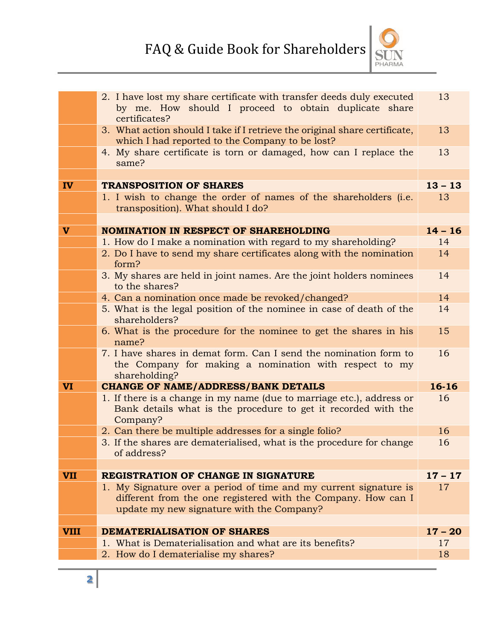

|             | 2. I have lost my share certificate with transfer deeds duly executed<br>by me. How should I proceed to obtain duplicate share<br>certificates?                                 | 13              |
|-------------|---------------------------------------------------------------------------------------------------------------------------------------------------------------------------------|-----------------|
|             | 3. What action should I take if I retrieve the original share certificate,<br>which I had reported to the Company to be lost?                                                   | 13              |
|             | 4. My share certificate is torn or damaged, how can I replace the<br>same?                                                                                                      |                 |
|             |                                                                                                                                                                                 |                 |
| <b>IV</b>   | <b>TRANSPOSITION OF SHARES</b>                                                                                                                                                  | $13 - 13$       |
|             | 1. I wish to change the order of names of the shareholders (i.e.<br>transposition). What should I do?                                                                           | 13              |
| V           | <b>NOMINATION IN RESPECT OF SHAREHOLDING</b>                                                                                                                                    | $14 - 16$       |
|             | 1. How do I make a nomination with regard to my shareholding?                                                                                                                   | 14              |
|             | 2. Do I have to send my share certificates along with the nomination<br>form?                                                                                                   | 14              |
|             | 3. My shares are held in joint names. Are the joint holders nominees<br>to the shares?                                                                                          | 14              |
|             | 4. Can a nomination once made be revoked/changed?                                                                                                                               | 14              |
|             | 5. What is the legal position of the nominee in case of death of the<br>shareholders?                                                                                           | 14              |
|             | 6. What is the procedure for the nominee to get the shares in his<br>name?                                                                                                      | 15              |
|             | 7. I have shares in demat form. Can I send the nomination form to<br>the Company for making a nomination with respect to my<br>shareholding?                                    |                 |
| <b>VI</b>   | <b>CHANGE OF NAME/ADDRESS/BANK DETAILS</b>                                                                                                                                      |                 |
|             | 1. If there is a change in my name (due to marriage etc.), address or<br>Bank details what is the procedure to get it recorded with the<br>Company?                             | 16              |
|             | 2. Can there be multiple addresses for a single folio?                                                                                                                          | 16              |
|             | 3. If the shares are dematerialised, what is the procedure for change<br>of address?                                                                                            | 16              |
|             |                                                                                                                                                                                 |                 |
| <b>VII</b>  | <b>REGISTRATION OF CHANGE IN SIGNATURE</b>                                                                                                                                      | $17 - 17$<br>17 |
|             | 1. My Signature over a period of time and my current signature is<br>different from the one registered with the Company. How can I<br>update my new signature with the Company? |                 |
|             |                                                                                                                                                                                 |                 |
| <b>VIII</b> | <b>DEMATERIALISATION OF SHARES</b>                                                                                                                                              | $17 - 20$       |
|             | 1. What is Dematerialisation and what are its benefits?                                                                                                                         | 17              |
|             | 2. How do I dematerialise my shares?                                                                                                                                            | 18              |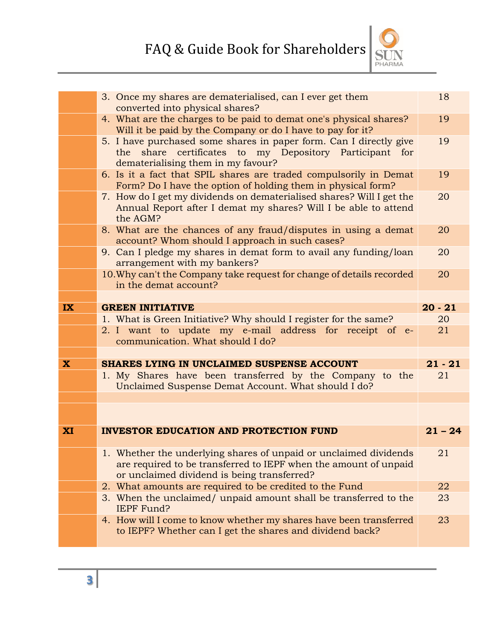

|                         | 3. Once my shares are dematerialised, can I ever get them<br>converted into physical shares?                                                                                         | 18        |  |
|-------------------------|--------------------------------------------------------------------------------------------------------------------------------------------------------------------------------------|-----------|--|
|                         | 4. What are the charges to be paid to demat one's physical shares?<br>Will it be paid by the Company or do I have to pay for it?                                                     | 19        |  |
|                         | 5. I have purchased some shares in paper form. Can I directly give<br>the share certificates to my Depository Participant for<br>dematerialising them in my favour?                  |           |  |
|                         | 6. Is it a fact that SPIL shares are traded compulsorily in Demat<br>Form? Do I have the option of holding them in physical form?                                                    | 19        |  |
|                         | 7. How do I get my dividends on dematerialised shares? Will I get the<br>Annual Report after I demat my shares? Will I be able to attend<br>the AGM?                                 | 20        |  |
|                         | 8. What are the chances of any fraud/disputes in using a demat<br>account? Whom should I approach in such cases?                                                                     | 20        |  |
|                         | 9. Can I pledge my shares in demat form to avail any funding/loan<br>arrangement with my bankers?                                                                                    | 20        |  |
|                         | 10. Why can't the Company take request for change of details recorded<br>in the demat account?                                                                                       | 20        |  |
|                         |                                                                                                                                                                                      |           |  |
| <b>IX</b>               | <b>GREEN INITIATIVE</b>                                                                                                                                                              | $20 - 21$ |  |
|                         | 1. What is Green Initiative? Why should I register for the same?                                                                                                                     | 20        |  |
|                         | 2. I want to update my e-mail address for receipt of e-<br>communication. What should I do?                                                                                          | 21        |  |
|                         |                                                                                                                                                                                      |           |  |
| $\overline{\mathbf{X}}$ | SHARES LYING IN UNCLAIMED SUSPENSE ACCOUNT                                                                                                                                           | $21 - 21$ |  |
|                         | 1. My Shares have been transferred by the Company to the<br>Unclaimed Suspense Demat Account. What should I do?                                                                      | 21        |  |
|                         |                                                                                                                                                                                      |           |  |
|                         |                                                                                                                                                                                      |           |  |
| <b>XI</b>               | <b>INVESTOR EDUCATION AND PROTECTION FUND</b>                                                                                                                                        | $21 - 24$ |  |
|                         | 1. Whether the underlying shares of unpaid or unclaimed dividends<br>are required to be transferred to IEPF when the amount of unpaid<br>or unclaimed dividend is being transferred? | 21        |  |
|                         | 2. What amounts are required to be credited to the Fund                                                                                                                              | 22        |  |
|                         | 3. When the unclaimed/ unpaid amount shall be transferred to the<br><b>IEPF Fund?</b>                                                                                                | 23        |  |
|                         | 4. How will I come to know whether my shares have been transferred<br>to IEPF? Whether can I get the shares and dividend back?                                                       | 23        |  |
|                         |                                                                                                                                                                                      |           |  |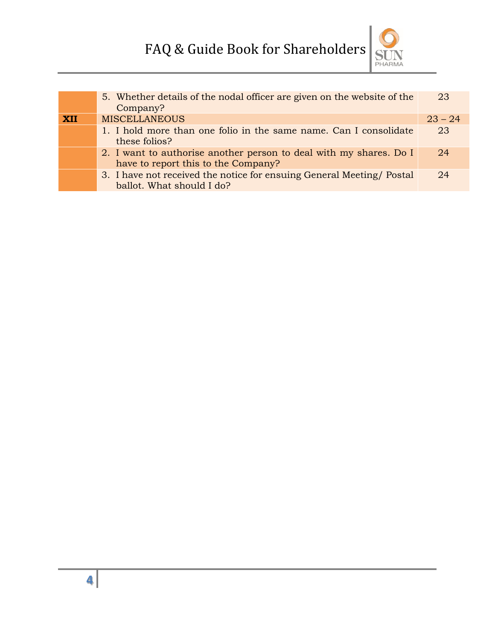

|            | 5. Whether details of the nodal officer are given on the website of the<br>Company?                       | 23        |
|------------|-----------------------------------------------------------------------------------------------------------|-----------|
| <b>XII</b> | <b>MISCELLANEOUS</b>                                                                                      | $23 - 24$ |
|            | 1. I hold more than one folio in the same name. Can I consolidate<br>these folios?                        | 23        |
|            | 2. I want to authorise another person to deal with my shares. Do I<br>have to report this to the Company? | 24        |
|            | 3. I have not received the notice for ensuing General Meeting/Postal<br>ballot. What should I do?         | 24        |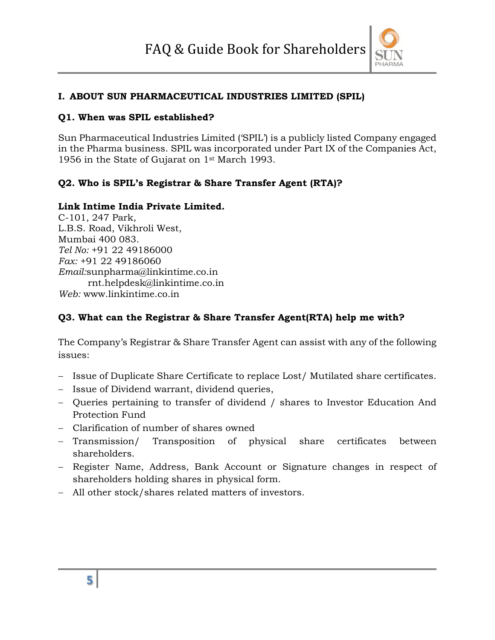

#### **I. ABOUT SUN PHARMACEUTICAL INDUSTRIES LIMITED (SPIL)**

#### **Q1. When was SPIL established?**

Sun Pharmaceutical Industries Limited ('SPIL') is a publicly listed Company engaged in the Pharma business. SPIL was incorporated under Part IX of the Companies Act, 1956 in the State of Gujarat on 1st March 1993.

#### **Q2. Who is SPIL's Registrar & Share Transfer Agent (RTA)?**

#### **Link Intime India Private Limited.**

C-101, 247 Park, L.B.S. Road, Vikhroli West, Mumbai 400 083. *Tel No:* +91 22 49186000 *Fax:* +91 22 49186060 *Email:*sunpharma@linkintime.co.in rnt.helpdesk@linkintime.co.in *Web:* www.linkintime.co.in

#### **Q3. What can the Registrar & Share Transfer Agent(RTA) help me with?**

The Company's Registrar & Share Transfer Agent can assist with any of the following issues:

- Issue of Duplicate Share Certificate to replace Lost/ Mutilated share certificates.
- Issue of Dividend warrant, dividend queries,
- Queries pertaining to transfer of dividend / shares to Investor Education And Protection Fund
- Clarification of number of shares owned
- Transmission/ Transposition of physical share certificates between shareholders.
- Register Name, Address, Bank Account or Signature changes in respect of shareholders holding shares in physical form.
- All other stock/shares related matters of investors.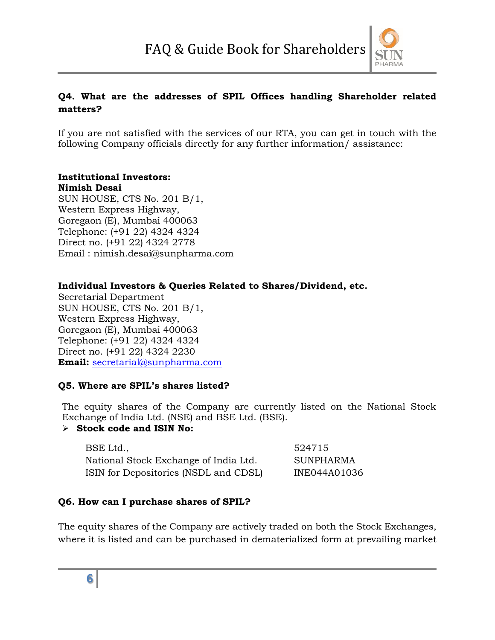

# **Q4. What are the addresses of SPIL Offices handling Shareholder related matters?**

If you are not satisfied with the services of our RTA, you can get in touch with the following Company officials directly for any further information/ assistance:

# **Institutional Investors:**

**Nimish Desai** SUN HOUSE, CTS No. 201 B/1, Western Express Highway, Goregaon (E), Mumbai 400063 Telephone: (+91 22) 4324 4324 Direct no. (+91 22) 4324 2778 Email : nimish.desai@sunpharma.com

#### **Individual Investors & Queries Related to Shares/Dividend, etc.**

Secretarial Department SUN HOUSE, CTS No. 201 B/1, Western Express Highway, Goregaon (E), Mumbai 400063 Telephone: (+91 22) 4324 4324 Direct no. (+91 22) 4324 2230 **Email:** secretarial@sunpharma.com

#### **Q5. Where are SPIL's shares listed?**

The equity shares of the Company are currently listed on the National Stock Exchange of India Ltd. (NSE) and BSE Ltd. (BSE).

#### **Stock code and ISIN No:**

| BSE Ltd.,                             | 524715       |
|---------------------------------------|--------------|
| National Stock Exchange of India Ltd. | SUNPHARMA    |
| ISIN for Depositories (NSDL and CDSL) | INE044A01036 |

#### **Q6. How can I purchase shares of SPIL?**

The equity shares of the Company are actively traded on both the Stock Exchanges, where it is listed and can be purchased in dematerialized form at prevailing market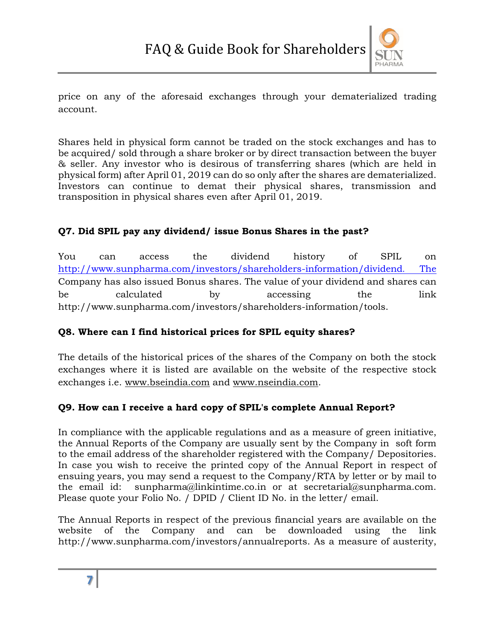

price on any of the aforesaid exchanges through your dematerialized trading account.

Shares held in physical form cannot be traded on the stock exchanges and has to be acquired/ sold through a share broker or by direct transaction between the buyer & seller. Any investor who is desirous of transferring shares (which are held in physical form) after April 01, 2019 can do so only after the shares are dematerialized. Investors can continue to demat their physical shares, transmission and transposition in physical shares even after April 01, 2019.

# **Q7. Did SPIL pay any dividend/ issue Bonus Shares in the past?**

You can access the dividend history of SPIL on http://www.sunpharma.com/investors/shareholders-information/dividend. The Company has also issued Bonus shares. The value of your dividend and shares can be calculated by accessing the link http://www.sunpharma.com/investors/shareholders-information/tools.

# **Q8. Where can I find historical prices for SPIL equity shares?**

The details of the historical prices of the shares of the Company on both the stock exchanges where it is listed are available on the website of the respective stock exchanges i.e. www.bseindia.com and www.nseindia.com.

# **Q9. How can I receive a hard copy of SPIL's complete Annual Report?**

In compliance with the applicable regulations and as a measure of green initiative, the Annual Reports of the Company are usually sent by the Company in soft form to the email address of the shareholder registered with the Company/ Depositories. In case you wish to receive the printed copy of the Annual Report in respect of ensuing years, you may send a request to the Company/RTA by letter or by mail to the email id: sunpharma@linkintime.co.in or at secretarial@sunpharma.com. Please quote your Folio No. / DPID / Client ID No. in the letter/ email.

The Annual Reports in respect of the previous financial years are available on the website of the Company and can be downloaded using the link http://www.sunpharma.com/investors/annualreports. As a measure of austerity,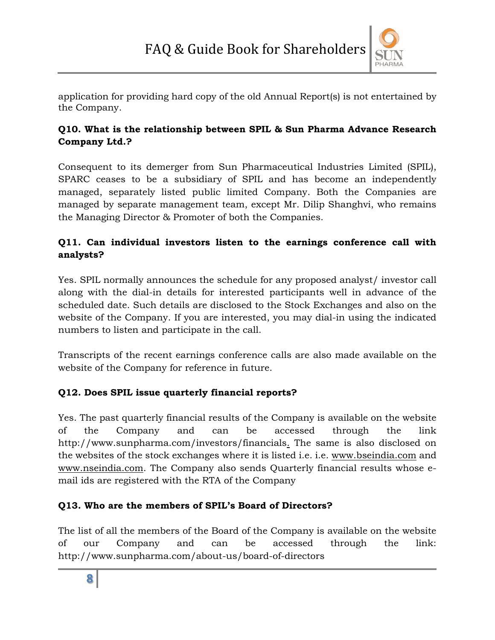

application for providing hard copy of the old Annual Report(s) is not entertained by the Company.

# **Q10. What is the relationship between SPIL & Sun Pharma Advance Research Company Ltd.?**

Consequent to its demerger from Sun Pharmaceutical Industries Limited (SPIL), SPARC ceases to be a subsidiary of SPIL and has become an independently managed, separately listed public limited Company. Both the Companies are managed by separate management team, except Mr. Dilip Shanghvi, who remains the Managing Director & Promoter of both the Companies.

# **Q11. Can individual investors listen to the earnings conference call with analysts?**

Yes. SPIL normally announces the schedule for any proposed analyst/ investor call along with the dial-in details for interested participants well in advance of the scheduled date. Such details are disclosed to the Stock Exchanges and also on the website of the Company. If you are interested, you may dial-in using the indicated numbers to listen and participate in the call.

Transcripts of the recent earnings conference calls are also made available on the website of the Company for reference in future.

# **Q12. Does SPIL issue quarterly financial reports?**

Yes. The past quarterly financial results of the Company is available on the website of the Company and can be accessed through the link http://www.sunpharma.com/investors/financials. The same is also disclosed on the websites of the stock exchanges where it is listed i.e. i.e. www.bseindia.com and www.nseindia.com. The Company also sends Quarterly financial results whose email ids are registered with the RTA of the Company

# **Q13. Who are the members of SPIL's Board of Directors?**

The list of all the members of the Board of the Company is available on the website of our Company and can be accessed through the link: http://www.sunpharma.com/about-us/board-of-directors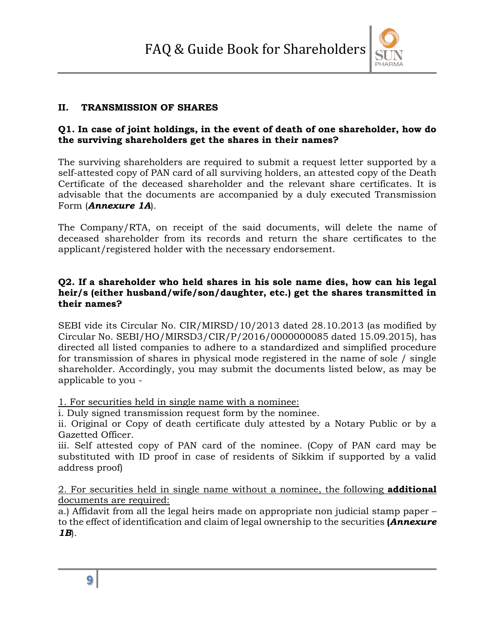

#### **II. TRANSMISSION OF SHARES**

#### **Q1. In case of joint holdings, in the event of death of one shareholder, how do the surviving shareholders get the shares in their names?**

The surviving shareholders are required to submit a request letter supported by a self-attested copy of PAN card of all surviving holders, an attested copy of the Death Certificate of the deceased shareholder and the relevant share certificates. It is advisable that the documents are accompanied by a duly executed Transmission Form (*Annexure 1A*).

The Company/RTA, on receipt of the said documents, will delete the name of deceased shareholder from its records and return the share certificates to the applicant/registered holder with the necessary endorsement.

#### **Q2. If a shareholder who held shares in his sole name dies, how can his legal heir/s (either husband/wife/son/daughter, etc.) get the shares transmitted in their names?**

SEBI vide its Circular No. CIR/MIRSD/10/2013 dated 28.10.2013 (as modified by Circular No. SEBI/HO/MIRSD3/CIR/P/2016/0000000085 dated 15.09.2015), has directed all listed companies to adhere to a standardized and simplified procedure for transmission of shares in physical mode registered in the name of sole / single shareholder. Accordingly, you may submit the documents listed below, as may be applicable to you -

1. For securities held in single name with a nominee:

i. Duly signed transmission request form by the nominee.

ii. Original or Copy of death certificate duly attested by a Notary Public or by a Gazetted Officer.

iii. Self attested copy of PAN card of the nominee. (Copy of PAN card may be substituted with ID proof in case of residents of Sikkim if supported by a valid address proof)

2. For securities held in single name without a nominee, the following **additional** documents are required:

a.) Affidavit from all the legal heirs made on appropriate non judicial stamp paper – to the effect of identification and claim of legal ownership to the securities **(***Annexure 1B*).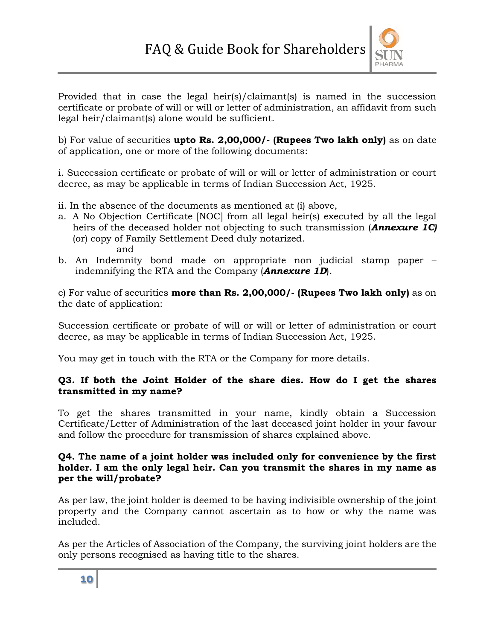

Provided that in case the legal heir(s)/claimant(s) is named in the succession certificate or probate of will or will or letter of administration, an affidavit from such legal heir/claimant(s) alone would be sufficient.

b) For value of securities **upto Rs. 2,00,000/- (Rupees Two lakh only)** as on date of application, one or more of the following documents:

i. Succession certificate or probate of will or will or letter of administration or court decree, as may be applicable in terms of Indian Succession Act, 1925.

- ii. In the absence of the documents as mentioned at (i) above,
- a. A No Objection Certificate [NOC] from all legal heir(s) executed by all the legal heirs of the deceased holder not objecting to such transmission (*Annexure 1C)* (or) copy of Family Settlement Deed duly notarized. and
- b. An Indemnity bond made on appropriate non judicial stamp paper indemnifying the RTA and the Company (*Annexure 1D*).

c) For value of securities **more than Rs. 2,00,000/- (Rupees Two lakh only)** as on the date of application:

Succession certificate or probate of will or will or letter of administration or court decree, as may be applicable in terms of Indian Succession Act, 1925.

You may get in touch with the RTA or the Company for more details.

#### **Q3. If both the Joint Holder of the share dies. How do I get the shares transmitted in my name?**

To get the shares transmitted in your name, kindly obtain a Succession Certificate/Letter of Administration of the last deceased joint holder in your favour and follow the procedure for transmission of shares explained above.

#### **Q4. The name of a joint holder was included only for convenience by the first holder. I am the only legal heir. Can you transmit the shares in my name as per the will/probate?**

As per law, the joint holder is deemed to be having indivisible ownership of the joint property and the Company cannot ascertain as to how or why the name was included.

As per the Articles of Association of the Company, the surviving joint holders are the only persons recognised as having title to the shares.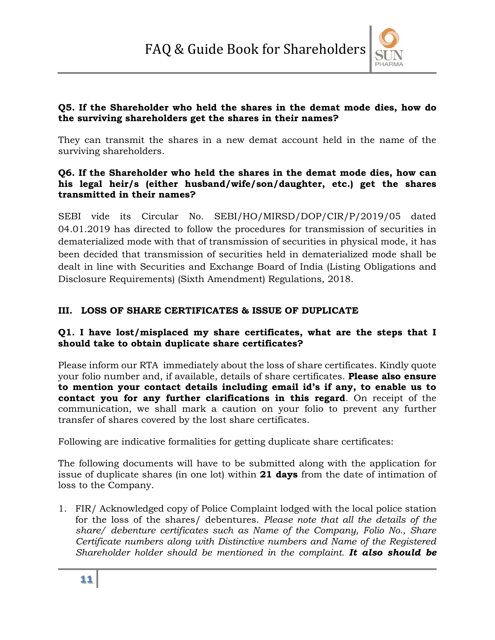

#### **Q5. If the Shareholder who held the shares in the demat mode dies, how do the surviving shareholders get the shares in their names?**

They can transmit the shares in a new demat account held in the name of the surviving shareholders.

#### **Q6. If the Shareholder who held the shares in the demat mode dies, how can his legal heir/s (either husband/wife/son/daughter, etc.) get the shares transmitted in their names?**

SEBI vide its Circular No. SEBI/HO/MIRSD/DOP/CIR/P/2019/05 dated 04.01.2019 has directed to follow the procedures for transmission of securities in dematerialized mode with that of transmission of securities in physical mode, it has been decided that transmission of securities held in dematerialized mode shall be dealt in line with Securities and Exchange Board of India (Listing Obligations and Disclosure Requirements) (Sixth Amendment) Regulations, 2018.

# **III. LOSS OF SHARE CERTIFICATES & ISSUE OF DUPLICATE**

#### **Q1. I have lost/misplaced my share certificates, what are the steps that I should take to obtain duplicate share certificates?**

Please inform our RTA immediately about the loss of share certificates. Kindly quote your folio number and, if available, details of share certificates. **Please also ensure to mention your contact details including email id's if any, to enable us to contact you for any further clarifications in this regard**. On receipt of the communication, we shall mark a caution on your folio to prevent any further transfer of shares covered by the lost share certificates.

Following are indicative formalities for getting duplicate share certificates:

The following documents will have to be submitted along with the application for issue of duplicate shares (in one lot) within **21 days** from the date of intimation of loss to the Company.

1. FIR/ Acknowledged copy of Police Complaint lodged with the local police station for the loss of the shares/ debentures. *Please note that all the details of the share/ debenture certificates such as Name of the Company, Folio No., Share Certificate numbers along with Distinctive numbers and Name of the Registered Shareholder holder should be mentioned in the complaint. It also should be*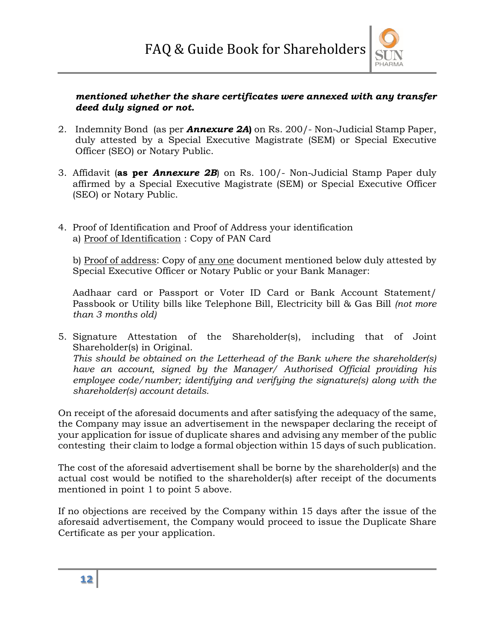

#### *mentioned whether the share certificates were annexed with any transfer deed duly signed or not.*

- 2. Indemnity Bond (as per *Annexure 2A***)** on Rs. 200/- Non-Judicial Stamp Paper, duly attested by a Special Executive Magistrate (SEM) or Special Executive Officer (SEO) or Notary Public.
- 3. Affidavit (**as per** *Annexure 2B*) on Rs. 100/- Non-Judicial Stamp Paper duly affirmed by a Special Executive Magistrate (SEM) or Special Executive Officer (SEO) or Notary Public.
- 4. Proof of Identification and Proof of Address your identification a) Proof of Identification : Copy of PAN Card

b) Proof of address: Copy of any one document mentioned below duly attested by Special Executive Officer or Notary Public or your Bank Manager:

Aadhaar card or Passport or Voter ID Card or Bank Account Statement/ Passbook or Utility bills like Telephone Bill, Electricity bill & Gas Bill *(not more than 3 months old)* 

5. Signature Attestation of the Shareholder(s), including that of Joint Shareholder(s) in Original. *This should be obtained on the Letterhead of the Bank where the shareholder(s) have an account, signed by the Manager/ Authorised Official providing his employee code/number; identifying and verifying the signature(s) along with the shareholder(s) account details.* 

On receipt of the aforesaid documents and after satisfying the adequacy of the same, the Company may issue an advertisement in the newspaper declaring the receipt of your application for issue of duplicate shares and advising any member of the public contesting their claim to lodge a formal objection within 15 days of such publication.

The cost of the aforesaid advertisement shall be borne by the shareholder(s) and the actual cost would be notified to the shareholder(s) after receipt of the documents mentioned in point 1 to point 5 above.

If no objections are received by the Company within 15 days after the issue of the aforesaid advertisement, the Company would proceed to issue the Duplicate Share Certificate as per your application.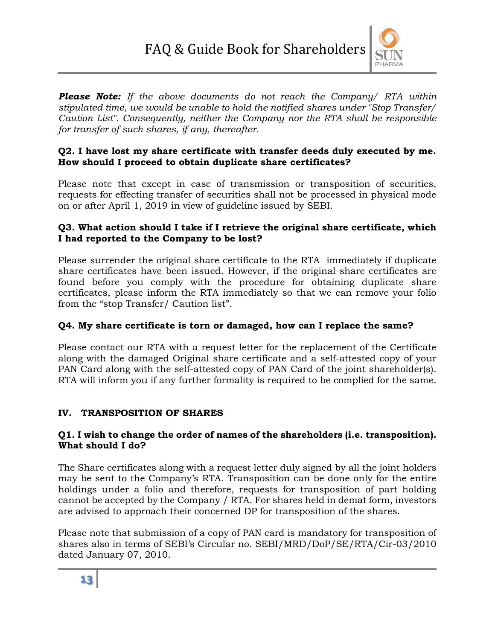

*Please Note: If the above documents do not reach the Company/ RTA within stipulated time, we would be unable to hold the notified shares under "Stop Transfer/ Caution List". Consequently, neither the Company nor the RTA shall be responsible for transfer of such shares, if any, thereafter.*

#### **Q2. I have lost my share certificate with transfer deeds duly executed by me. How should I proceed to obtain duplicate share certificates?**

Please note that except in case of transmission or transposition of securities, requests for effecting transfer of securities shall not be processed in physical mode on or after April 1, 2019 in view of guideline issued by SEBI.

#### **Q3. What action should I take if I retrieve the original share certificate, which I had reported to the Company to be lost?**

Please surrender the original share certificate to the RTA immediately if duplicate share certificates have been issued. However, if the original share certificates are found before you comply with the procedure for obtaining duplicate share certificates, please inform the RTA immediately so that we can remove your folio from the "stop Transfer/ Caution list".

# **Q4. My share certificate is torn or damaged, how can I replace the same?**

Please contact our RTA with a request letter for the replacement of the Certificate along with the damaged Original share certificate and a self-attested copy of your PAN Card along with the self-attested copy of PAN Card of the joint shareholder(s). RTA will inform you if any further formality is required to be complied for the same.

#### **IV. TRANSPOSITION OF SHARES**

#### **Q1. I wish to change the order of names of the shareholders (i.e. transposition). What should I do?**

The Share certificates along with a request letter duly signed by all the joint holders may be sent to the Company's RTA. Transposition can be done only for the entire holdings under a folio and therefore, requests for transposition of part holding cannot be accepted by the Company / RTA. For shares held in demat form, investors are advised to approach their concerned DP for transposition of the shares.

Please note that submission of a copy of PAN card is mandatory for transposition of shares also in terms of SEBI's Circular no. SEBI/MRD/DoP/SE/RTA/Cir-03/2010 dated January 07, 2010.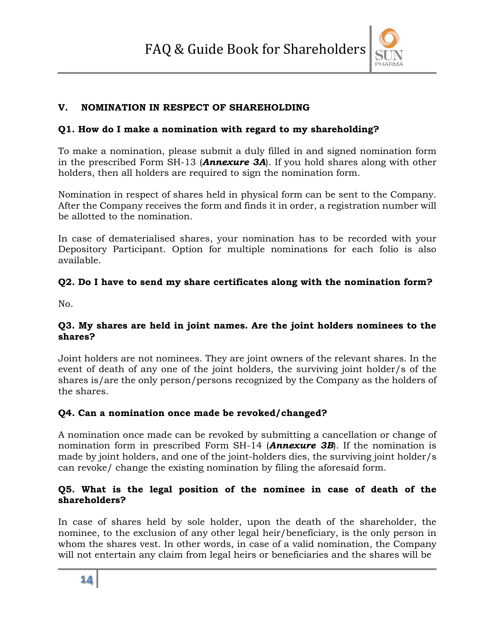

#### **V. NOMINATION IN RESPECT OF SHAREHOLDING**

#### **Q1. How do I make a nomination with regard to my shareholding?**

To make a nomination, please submit a duly filled in and signed nomination form in the prescribed Form SH-13 (*Annexure 3A*). If you hold shares along with other holders, then all holders are required to sign the nomination form.

Nomination in respect of shares held in physical form can be sent to the Company. After the Company receives the form and finds it in order, a registration number will be allotted to the nomination.

In case of dematerialised shares, your nomination has to be recorded with your Depository Participant. Option for multiple nominations for each folio is also available.

#### **Q2. Do I have to send my share certificates along with the nomination form?**

No.

#### **Q3. My shares are held in joint names. Are the joint holders nominees to the shares?**

Joint holders are not nominees. They are joint owners of the relevant shares. In the event of death of any one of the joint holders, the surviving joint holder/s of the shares is/are the only person/persons recognized by the Company as the holders of the shares.

#### **Q4. Can a nomination once made be revoked/changed?**

A nomination once made can be revoked by submitting a cancellation or change of nomination form in prescribed Form SH-14 (*Annexure 3B*). If the nomination is made by joint holders, and one of the joint-holders dies, the surviving joint holder/s can revoke/ change the existing nomination by filing the aforesaid form.

#### **Q5. What is the legal position of the nominee in case of death of the shareholders?**

In case of shares held by sole holder, upon the death of the shareholder, the nominee, to the exclusion of any other legal heir/beneficiary, is the only person in whom the shares vest. In other words, in case of a valid nomination, the Company will not entertain any claim from legal heirs or beneficiaries and the shares will be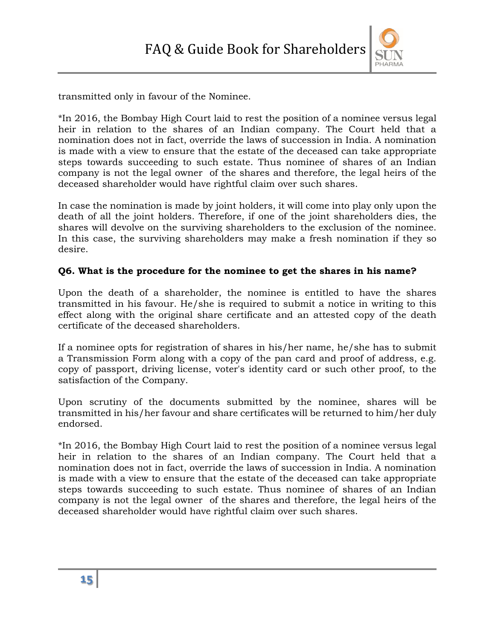

transmitted only in favour of the Nominee.

\*In 2016, the Bombay High Court laid to rest the position of a nominee versus legal heir in relation to the shares of an Indian company. The Court held that a nomination does not in fact, override the laws of succession in India. A nomination is made with a view to ensure that the estate of the deceased can take appropriate steps towards succeeding to such estate. Thus nominee of shares of an Indian company is not the legal owner of the shares and therefore, the legal heirs of the deceased shareholder would have rightful claim over such shares.

In case the nomination is made by joint holders, it will come into play only upon the death of all the joint holders. Therefore, if one of the joint shareholders dies, the shares will devolve on the surviving shareholders to the exclusion of the nominee. In this case, the surviving shareholders may make a fresh nomination if they so desire.

#### **Q6. What is the procedure for the nominee to get the shares in his name?**

Upon the death of a shareholder, the nominee is entitled to have the shares transmitted in his favour. He/she is required to submit a notice in writing to this effect along with the original share certificate and an attested copy of the death certificate of the deceased shareholders.

If a nominee opts for registration of shares in his/her name, he/she has to submit a Transmission Form along with a copy of the pan card and proof of address, e.g. copy of passport, driving license, voter's identity card or such other proof, to the satisfaction of the Company.

Upon scrutiny of the documents submitted by the nominee, shares will be transmitted in his/her favour and share certificates will be returned to him/her duly endorsed.

\*In 2016, the Bombay High Court laid to rest the position of a nominee versus legal heir in relation to the shares of an Indian company. The Court held that a nomination does not in fact, override the laws of succession in India. A nomination is made with a view to ensure that the estate of the deceased can take appropriate steps towards succeeding to such estate. Thus nominee of shares of an Indian company is not the legal owner of the shares and therefore, the legal heirs of the deceased shareholder would have rightful claim over such shares.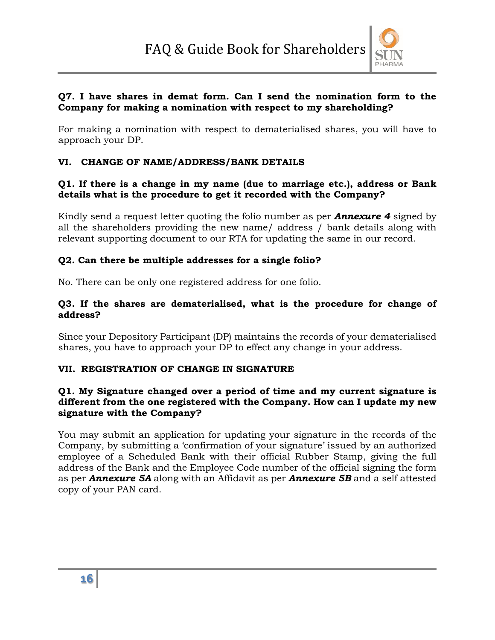

#### **Q7. I have shares in demat form. Can I send the nomination form to the Company for making a nomination with respect to my shareholding?**

For making a nomination with respect to dematerialised shares, you will have to approach your DP.

#### **VI. CHANGE OF NAME/ADDRESS/BANK DETAILS**

#### **Q1. If there is a change in my name (due to marriage etc.), address or Bank details what is the procedure to get it recorded with the Company?**

Kindly send a request letter quoting the folio number as per *Annexure 4* signed by all the shareholders providing the new name/ address / bank details along with relevant supporting document to our RTA for updating the same in our record.

#### **Q2. Can there be multiple addresses for a single folio?**

No. There can be only one registered address for one folio.

#### **Q3. If the shares are dematerialised, what is the procedure for change of address?**

Since your Depository Participant (DP) maintains the records of your dematerialised shares, you have to approach your DP to effect any change in your address.

#### **VII. REGISTRATION OF CHANGE IN SIGNATURE**

#### **Q1. My Signature changed over a period of time and my current signature is different from the one registered with the Company. How can I update my new signature with the Company?**

You may submit an application for updating your signature in the records of the Company, by submitting a 'confirmation of your signature' issued by an authorized employee of a Scheduled Bank with their official Rubber Stamp, giving the full address of the Bank and the Employee Code number of the official signing the form as per *Annexure 5A* along with an Affidavit as per *Annexure 5B* and a self attested copy of your PAN card.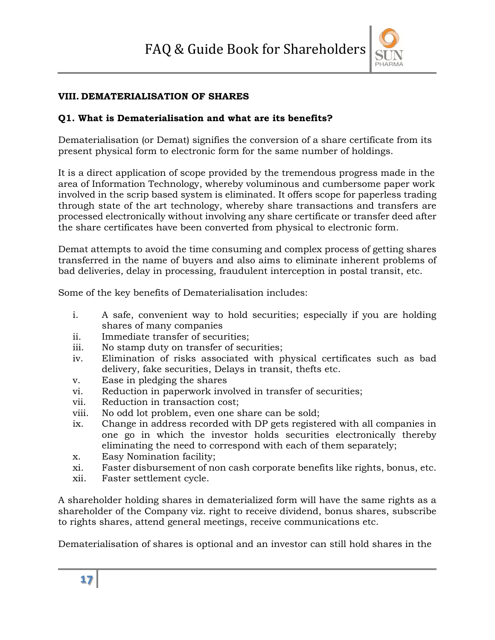

#### **VIII. DEMATERIALISATION OF SHARES**

#### **Q1. What is Dematerialisation and what are its benefits?**

Dematerialisation (or Demat) signifies the conversion of a share certificate from its present physical form to electronic form for the same number of holdings.

It is a direct application of scope provided by the tremendous progress made in the area of Information Technology, whereby voluminous and cumbersome paper work involved in the scrip based system is eliminated. It offers scope for paperless trading through state of the art technology, whereby share transactions and transfers are processed electronically without involving any share certificate or transfer deed after the share certificates have been converted from physical to electronic form.

Demat attempts to avoid the time consuming and complex process of getting shares transferred in the name of buyers and also aims to eliminate inherent problems of bad deliveries, delay in processing, fraudulent interception in postal transit, etc.

Some of the key benefits of Dematerialisation includes:

- i. A safe, convenient way to hold securities; especially if you are holding shares of many companies
- ii. Immediate transfer of securities;
- iii. No stamp duty on transfer of securities;
- iv. Elimination of risks associated with physical certificates such as bad delivery, fake securities, Delays in transit, thefts etc.
- v. Ease in pledging the shares
- vi. Reduction in paperwork involved in transfer of securities;
- vii. Reduction in transaction cost;
- viii. No odd lot problem, even one share can be sold;
- ix. Change in address recorded with DP gets registered with all companies in one go in which the investor holds securities electronically thereby eliminating the need to correspond with each of them separately;
- x. Easy Nomination facility;
- xi. Faster disbursement of non cash corporate benefits like rights, bonus, etc.
- xii. Faster settlement cycle.

A shareholder holding shares in dematerialized form will have the same rights as a shareholder of the Company viz. right to receive dividend, bonus shares, subscribe to rights shares, attend general meetings, receive communications etc.

Dematerialisation of shares is optional and an investor can still hold shares in the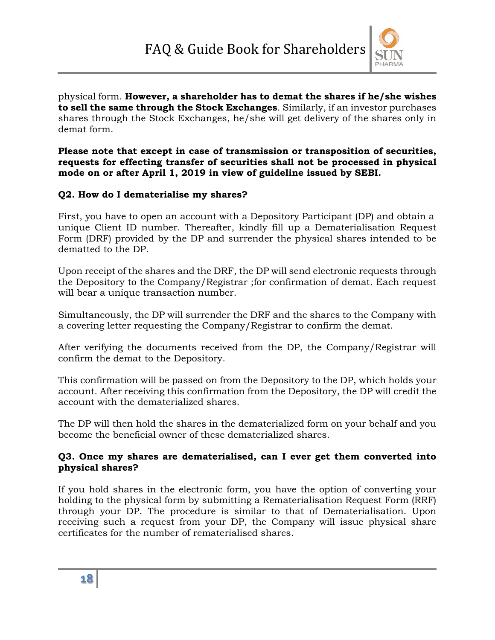

physical form. **However, a shareholder has to demat the shares if he/she wishes to sell the same through the Stock Exchanges**. Similarly, if an investor purchases shares through the Stock Exchanges, he/she will get delivery of the shares only in demat form.

**Please note that except in case of transmission or transposition of securities, requests for effecting transfer of securities shall not be processed in physical mode on or after April 1, 2019 in view of guideline issued by SEBI.**

#### **Q2. How do I dematerialise my shares?**

First, you have to open an account with a Depository Participant (DP) and obtain a unique Client ID number. Thereafter, kindly fill up a Dematerialisation Request Form (DRF) provided by the DP and surrender the physical shares intended to be dematted to the DP.

Upon receipt of the shares and the DRF, the DP will send electronic requests through the Depository to the Company/Registrar ;for confirmation of demat. Each request will bear a unique transaction number.

Simultaneously, the DP will surrender the DRF and the shares to the Company with a covering letter requesting the Company/Registrar to confirm the demat.

After verifying the documents received from the DP, the Company/Registrar will confirm the demat to the Depository.

This confirmation will be passed on from the Depository to the DP, which holds your account. After receiving this confirmation from the Depository, the DP will credit the account with the dematerialized shares.

The DP will then hold the shares in the dematerialized form on your behalf and you become the beneficial owner of these dematerialized shares.

#### **Q3. Once my shares are dematerialised, can I ever get them converted into physical shares?**

If you hold shares in the electronic form, you have the option of converting your holding to the physical form by submitting a Rematerialisation Request Form (RRF) through your DP. The procedure is similar to that of Dematerialisation. Upon receiving such a request from your DP, the Company will issue physical share certificates for the number of rematerialised shares.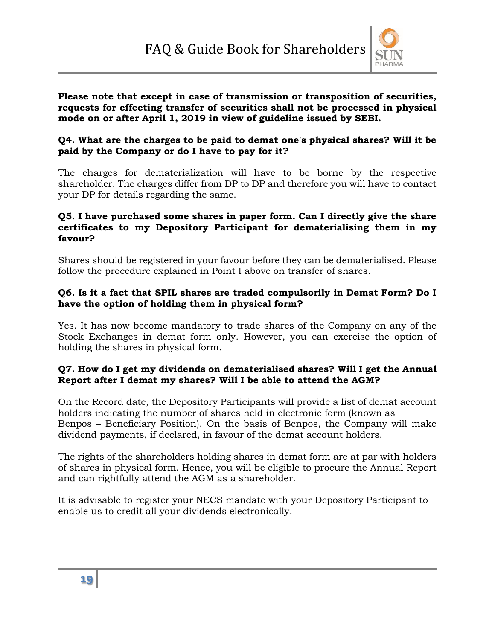

#### **Please note that except in case of transmission or transposition of securities, requests for effecting transfer of securities shall not be processed in physical mode on or after April 1, 2019 in view of guideline issued by SEBI.**

#### **Q4. What are the charges to be paid to demat one's physical shares? Will it be paid by the Company or do I have to pay for it?**

The charges for dematerialization will have to be borne by the respective shareholder. The charges differ from DP to DP and therefore you will have to contact your DP for details regarding the same.

#### **Q5. I have purchased some shares in paper form. Can I directly give the share certificates to my Depository Participant for dematerialising them in my favour?**

Shares should be registered in your favour before they can be dematerialised. Please follow the procedure explained in Point I above on transfer of shares.

#### **Q6. Is it a fact that SPIL shares are traded compulsorily in Demat Form? Do I have the option of holding them in physical form?**

Yes. It has now become mandatory to trade shares of the Company on any of the Stock Exchanges in demat form only. However, you can exercise the option of holding the shares in physical form.

#### **Q7. How do I get my dividends on dematerialised shares? Will I get the Annual Report after I demat my shares? Will I be able to attend the AGM?**

On the Record date, the Depository Participants will provide a list of demat account holders indicating the number of shares held in electronic form (known as Benpos – Beneficiary Position). On the basis of Benpos, the Company will make dividend payments, if declared, in favour of the demat account holders.

The rights of the shareholders holding shares in demat form are at par with holders of shares in physical form. Hence, you will be eligible to procure the Annual Report and can rightfully attend the AGM as a shareholder.

It is advisable to register your NECS mandate with your Depository Participant to enable us to credit all your dividends electronically.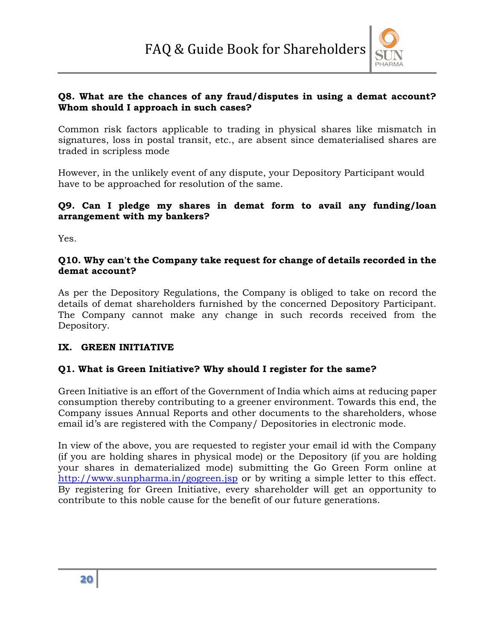

#### **Q8. What are the chances of any fraud/disputes in using a demat account? Whom should I approach in such cases?**

Common risk factors applicable to trading in physical shares like mismatch in signatures, loss in postal transit, etc., are absent since dematerialised shares are traded in scripless mode

However, in the unlikely event of any dispute, your Depository Participant would have to be approached for resolution of the same.

#### **Q9. Can I pledge my shares in demat form to avail any funding/loan arrangement with my bankers?**

Yes.

#### **Q10. Why can't the Company take request for change of details recorded in the demat account?**

As per the Depository Regulations, the Company is obliged to take on record the details of demat shareholders furnished by the concerned Depository Participant. The Company cannot make any change in such records received from the Depository.

#### **IX. GREEN INITIATIVE**

#### **Q1. What is Green Initiative? Why should I register for the same?**

Green Initiative is an effort of the Government of India which aims at reducing paper consumption thereby contributing to a greener environment. Towards this end, the Company issues Annual Reports and other documents to the shareholders, whose email id's are registered with the Company/ Depositories in electronic mode.

In view of the above, you are requested to register your email id with the Company (if you are holding shares in physical mode) or the Depository (if you are holding your shares in dematerialized mode) submitting the Go Green Form online at http://www.sunpharma.in/gogreen.jsp or by writing a simple letter to this effect. By registering for Green Initiative, every shareholder will get an opportunity to contribute to this noble cause for the benefit of our future generations.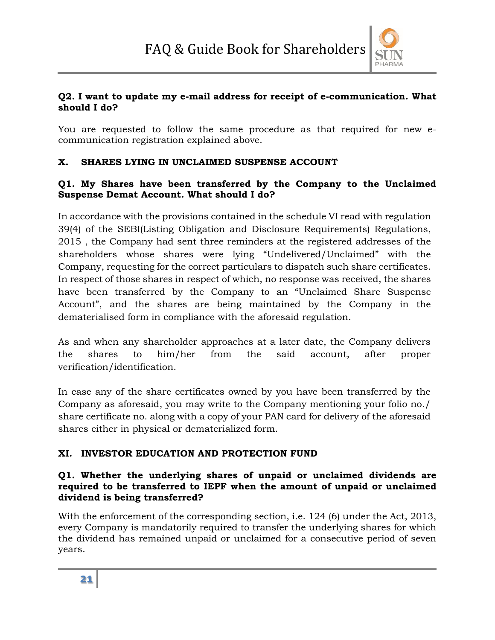

#### **Q2. I want to update my e-mail address for receipt of e-communication. What should I do?**

You are requested to follow the same procedure as that required for new ecommunication registration explained above.

#### **X. SHARES LYING IN UNCLAIMED SUSPENSE ACCOUNT**

#### **Q1. My Shares have been transferred by the Company to the Unclaimed Suspense Demat Account. What should I do?**

In accordance with the provisions contained in the schedule VI read with regulation 39(4) of the SEBI(Listing Obligation and Disclosure Requirements) Regulations, 2015 , the Company had sent three reminders at the registered addresses of the shareholders whose shares were lying "Undelivered/Unclaimed" with the Company, requesting for the correct particulars to dispatch such share certificates. In respect of those shares in respect of which, no response was received, the shares have been transferred by the Company to an "Unclaimed Share Suspense Account", and the shares are being maintained by the Company in the dematerialised form in compliance with the aforesaid regulation.

As and when any shareholder approaches at a later date, the Company delivers the shares to him/her from the said account, after proper verification/identification.

In case any of the share certificates owned by you have been transferred by the Company as aforesaid, you may write to the Company mentioning your folio no./ share certificate no. along with a copy of your PAN card for delivery of the aforesaid shares either in physical or dematerialized form.

# **XI. INVESTOR EDUCATION AND PROTECTION FUND**

#### **Q1. Whether the underlying shares of unpaid or unclaimed dividends are required to be transferred to IEPF when the amount of unpaid or unclaimed dividend is being transferred?**

With the enforcement of the corresponding section, *i.e.* 124 (6) under the Act, 2013, every Company is mandatorily required to transfer the underlying shares for which the dividend has remained unpaid or unclaimed for a consecutive period of seven years.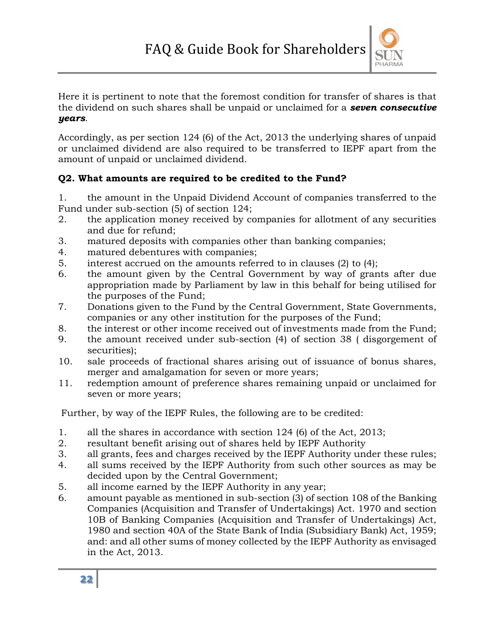

Here it is pertinent to note that the foremost condition for transfer of shares is that the dividend on such shares shall be unpaid or unclaimed for a *seven consecutive years*.

Accordingly, as per section 124 (6) of the Act, 2013 the underlying shares of unpaid or unclaimed dividend are also required to be transferred to IEPF apart from the amount of unpaid or unclaimed dividend.

#### **Q2. What amounts are required to be credited to the Fund?**

1. the amount in the Unpaid Dividend Account of companies transferred to the Fund under sub-section (5) of section 124;

- 2. the application money received by companies for allotment of any securities and due for refund;
- 3. matured deposits with companies other than banking companies;
- 4. matured debentures with companies;
- 5. interest accrued on the amounts referred to in clauses (2) to (4);
- 6. the amount given by the Central Government by way of grants after due appropriation made by Parliament by law in this behalf for being utilised for the purposes of the Fund;
- 7. Donations given to the Fund by the Central Government, State Governments, companies or any other institution for the purposes of the Fund;
- 8. the interest or other income received out of investments made from the Fund;
- 9. the amount received under sub-section (4) of section 38 ( disgorgement of securities);
- 10. sale proceeds of fractional shares arising out of issuance of bonus shares, merger and amalgamation for seven or more years;
- 11. redemption amount of preference shares remaining unpaid or unclaimed for seven or more years;

Further, by way of the IEPF Rules, the following are to be credited:

- 1. all the shares in accordance with section 124 (6) of the Act, 2013;
- 2. resultant benefit arising out of shares held by IEPF Authority
- 3. all grants, fees and charges received by the IEPF Authority under these rules;
- 4. all sums received by the IEPF Authority from such other sources as may be decided upon by the Central Government;
- 5. all income earned by the IEPF Authority in any year;
- 6. amount payable as mentioned in sub-section (3) of section 108 of the Banking Companies (Acquisition and Transfer of Undertakings) Act. 1970 and section 10B of Banking Companies (Acquisition and Transfer of Undertakings) Act, 1980 and section 40A of the State Bank of India (Subsidiary Bank) Act, 1959; and: and all other sums of money collected by the IEPF Authority as envisaged in the Act, 2013.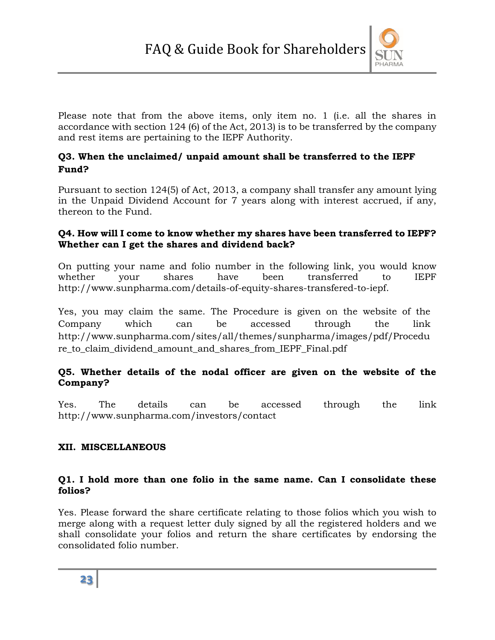

Please note that from the above items, only item no. 1 (i.e. all the shares in accordance with section 124 (6) of the Act, 2013) is to be transferred by the company and rest items are pertaining to the IEPF Authority.

#### **Q3. When the unclaimed/ unpaid amount shall be transferred to the IEPF Fund?**

Pursuant to section 124(5) of Act, 2013, a company shall transfer any amount lying in the Unpaid Dividend Account for 7 years along with interest accrued, if any, thereon to the Fund.

#### **Q4. How will I come to know whether my shares have been transferred to IEPF? Whether can I get the shares and dividend back?**

On putting your name and folio number in the following link, you would know whether your shares have been transferred to IEPF http://www.sunpharma.com/details-of-equity-shares-transfered-to-iepf.

Yes, you may claim the same. The Procedure is given on the website of the Company which can be accessed through the link http://www.sunpharma.com/sites/all/themes/sunpharma/images/pdf/Procedu re to claim dividend amount and shares from IEPF Final.pdf

#### **Q5. Whether details of the nodal officer are given on the website of the Company?**

Yes. The details can be accessed through the link http://www.sunpharma.com/investors/contact

#### **XII. MISCELLANEOUS**

#### **Q1. I hold more than one folio in the same name. Can I consolidate these folios?**

Yes. Please forward the share certificate relating to those folios which you wish to merge along with a request letter duly signed by all the registered holders and we shall consolidate your folios and return the share certificates by endorsing the consolidated folio number.